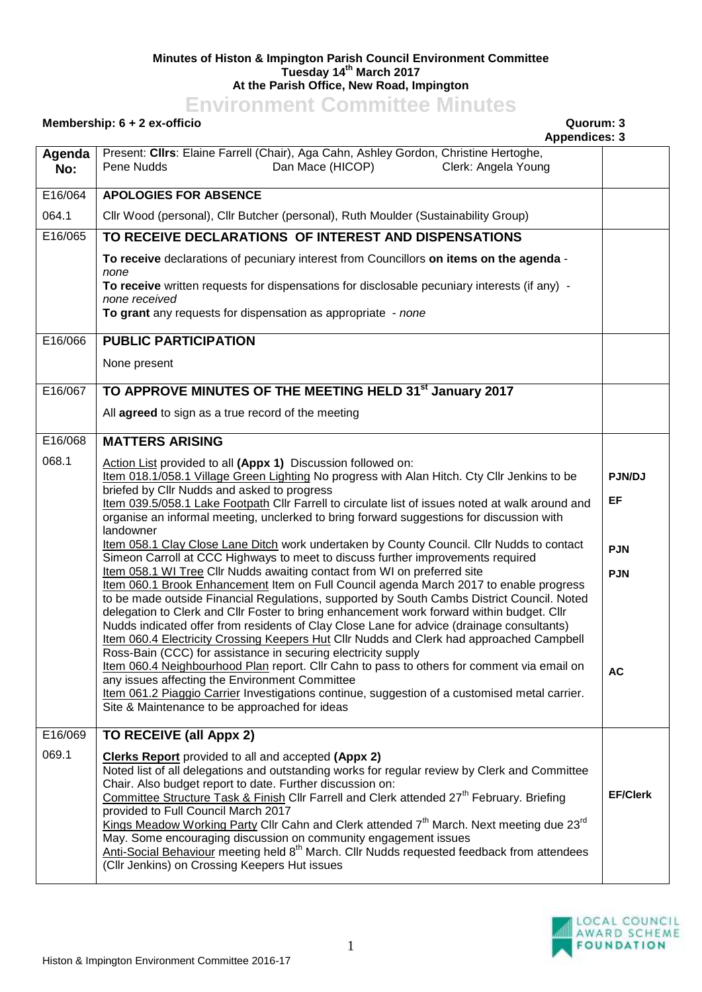## **Minutes of Histon & Impington Parish Council Environment Committee Tuesday 14th March 2017 At the Parish Office, New Road, Impington**

## **Environment Committee Minutes**

## **Membership: 6 + 2 ex-officio Quorum: 3**

|               | <b>Appendices: 3</b>                                                                                                                                                                         |                  |                     |                 |  |
|---------------|----------------------------------------------------------------------------------------------------------------------------------------------------------------------------------------------|------------------|---------------------|-----------------|--|
| Agenda<br>No: | Present: Cllrs: Elaine Farrell (Chair), Aga Cahn, Ashley Gordon, Christine Hertoghe,<br>Pene Nudds                                                                                           | Dan Mace (HICOP) | Clerk: Angela Young |                 |  |
| E16/064       | <b>APOLOGIES FOR ABSENCE</b>                                                                                                                                                                 |                  |                     |                 |  |
| 064.1         | Cllr Wood (personal), Cllr Butcher (personal), Ruth Moulder (Sustainability Group)                                                                                                           |                  |                     |                 |  |
| E16/065       | TO RECEIVE DECLARATIONS OF INTEREST AND DISPENSATIONS                                                                                                                                        |                  |                     |                 |  |
|               | To receive declarations of pecuniary interest from Councillors on items on the agenda -<br>none                                                                                              |                  |                     |                 |  |
|               | To receive written requests for dispensations for disclosable pecuniary interests (if any) -<br>none received                                                                                |                  |                     |                 |  |
|               | To grant any requests for dispensation as appropriate - none                                                                                                                                 |                  |                     |                 |  |
| E16/066       | <b>PUBLIC PARTICIPATION</b>                                                                                                                                                                  |                  |                     |                 |  |
|               | None present                                                                                                                                                                                 |                  |                     |                 |  |
| E16/067       | TO APPROVE MINUTES OF THE MEETING HELD 31 <sup>st</sup> January 2017                                                                                                                         |                  |                     |                 |  |
|               | All agreed to sign as a true record of the meeting                                                                                                                                           |                  |                     |                 |  |
| E16/068       | <b>MATTERS ARISING</b>                                                                                                                                                                       |                  |                     |                 |  |
| 068.1         | Action List provided to all (Appx 1) Discussion followed on:<br>Item 018.1/058.1 Village Green Lighting No progress with Alan Hitch. Cty Cllr Jenkins to be                                  |                  |                     | PJN/DJ          |  |
|               | briefed by Cllr Nudds and asked to progress                                                                                                                                                  |                  |                     |                 |  |
|               | Item 039.5/058.1 Lake Footpath CIIr Farrell to circulate list of issues noted at walk around and<br>organise an informal meeting, unclerked to bring forward suggestions for discussion with |                  |                     | EF              |  |
|               | landowner<br>Item 058.1 Clay Close Lane Ditch work undertaken by County Council. Cllr Nudds to contact                                                                                       |                  |                     |                 |  |
|               | Simeon Carroll at CCC Highways to meet to discuss further improvements required                                                                                                              |                  |                     | <b>PJN</b>      |  |
|               | Item 058.1 WI Tree Cllr Nudds awaiting contact from WI on preferred site<br>Item 060.1 Brook Enhancement Item on Full Council agenda March 2017 to enable progress                           |                  |                     | <b>PJN</b>      |  |
|               | to be made outside Financial Regulations, supported by South Cambs District Council. Noted                                                                                                   |                  |                     |                 |  |
|               | delegation to Clerk and Cllr Foster to bring enhancement work forward within budget. Cllr                                                                                                    |                  |                     |                 |  |
|               | Nudds indicated offer from residents of Clay Close Lane for advice (drainage consultants)<br>Item 060.4 Electricity Crossing Keepers Hut Cllr Nudds and Clerk had approached Campbell        |                  |                     |                 |  |
|               | Ross-Bain (CCC) for assistance in securing electricity supply                                                                                                                                |                  |                     |                 |  |
|               | Item 060.4 Neighbourhood Plan report. Cllr Cahn to pass to others for comment via email on<br>any issues affecting the Environment Committee                                                 |                  |                     | <b>AC</b>       |  |
|               | Item 061.2 Piaggio Carrier Investigations continue, suggestion of a customised metal carrier.                                                                                                |                  |                     |                 |  |
|               | Site & Maintenance to be approached for ideas                                                                                                                                                |                  |                     |                 |  |
| E16/069       | TO RECEIVE (all Appx 2)                                                                                                                                                                      |                  |                     |                 |  |
| 069.1         | <b>Clerks Report</b> provided to all and accepted (Appx 2)                                                                                                                                   |                  |                     |                 |  |
|               | Noted list of all delegations and outstanding works for regular review by Clerk and Committee<br>Chair. Also budget report to date. Further discussion on:                                   |                  |                     |                 |  |
|               | Committee Structure Task & Finish Cllr Farrell and Clerk attended 27 <sup>th</sup> February. Briefing                                                                                        |                  |                     | <b>EF/Clerk</b> |  |
|               | provided to Full Council March 2017<br>Kings Meadow Working Party Cllr Cahn and Clerk attended 7 <sup>th</sup> March. Next meeting due 23 <sup>rd</sup>                                      |                  |                     |                 |  |
|               | May. Some encouraging discussion on community engagement issues                                                                                                                              |                  |                     |                 |  |
|               | Anti-Social Behaviour meeting held 8 <sup>th</sup> March. Cllr Nudds requested feedback from attendees<br>(Cllr Jenkins) on Crossing Keepers Hut issues                                      |                  |                     |                 |  |
|               |                                                                                                                                                                                              |                  |                     |                 |  |

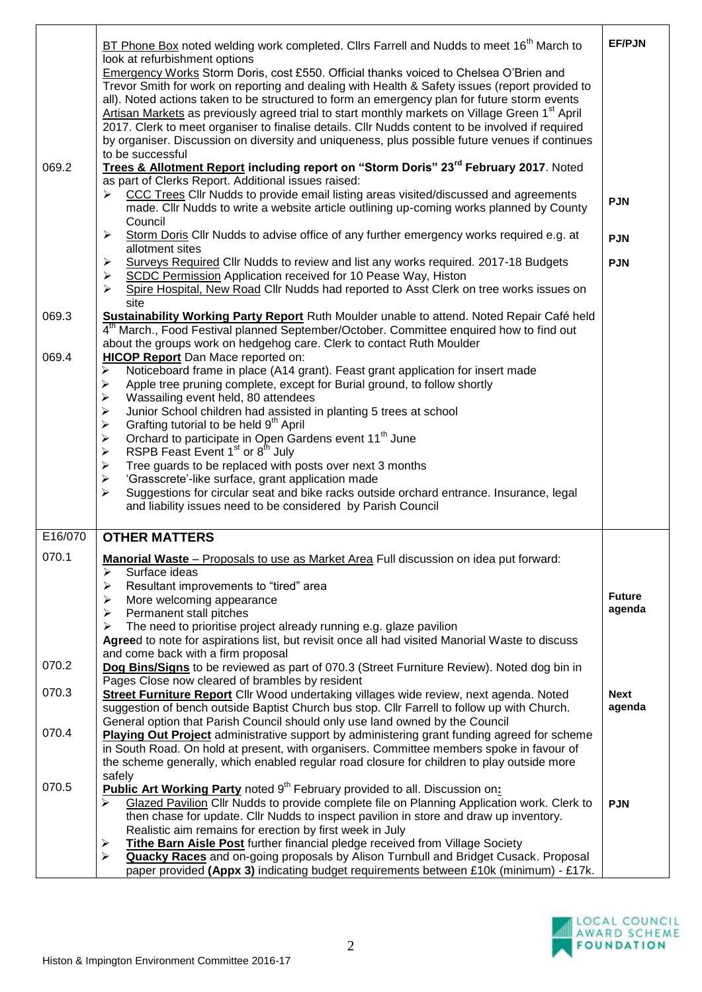| 069.2   | BT Phone Box noted welding work completed. Cllrs Farrell and Nudds to meet 16 <sup>th</sup> March to<br>look at refurbishment options<br>Emergency Works Storm Doris, cost £550. Official thanks voiced to Chelsea O'Brien and<br>Trevor Smith for work on reporting and dealing with Health & Safety issues (report provided to<br>all). Noted actions taken to be structured to form an emergency plan for future storm events<br>Artisan Markets as previously agreed trial to start monthly markets on Village Green 1 <sup>st</sup> April<br>2017. Clerk to meet organiser to finalise details. Cllr Nudds content to be involved if required<br>by organiser. Discussion on diversity and uniqueness, plus possible future venues if continues<br>to be successful<br>Trees & Allotment Report including report on "Storm Doris" 23 <sup>rd</sup> February 2017. Noted<br>as part of Clerks Report. Additional issues raised:<br>CCC Trees Cllr Nudds to provide email listing areas visited/discussed and agreements<br>➤<br>made. Cllr Nudds to write a website article outlining up-coming works planned by County<br>Council<br>Storm Doris Cllr Nudds to advise office of any further emergency works required e.g. at<br>≻<br>allotment sites<br>Surveys Required Cllr Nudds to review and list any works required. 2017-18 Budgets<br>➤<br>SCDC Permission Application received for 10 Pease Way, Histon<br>➤<br>Spire Hospital, New Road Cllr Nudds had reported to Asst Clerk on tree works issues on<br>⋗ | <b>EF/PJN</b><br><b>PJN</b><br><b>PJN</b><br><b>PJN</b> |  |  |
|---------|---------------------------------------------------------------------------------------------------------------------------------------------------------------------------------------------------------------------------------------------------------------------------------------------------------------------------------------------------------------------------------------------------------------------------------------------------------------------------------------------------------------------------------------------------------------------------------------------------------------------------------------------------------------------------------------------------------------------------------------------------------------------------------------------------------------------------------------------------------------------------------------------------------------------------------------------------------------------------------------------------------------------------------------------------------------------------------------------------------------------------------------------------------------------------------------------------------------------------------------------------------------------------------------------------------------------------------------------------------------------------------------------------------------------------------------------------------------------------------------------------------------------------|---------------------------------------------------------|--|--|
| 069.3   | site<br>Sustainability Working Party Report Ruth Moulder unable to attend. Noted Repair Café held<br>4 <sup>th</sup> March., Food Festival planned September/October. Committee enquired how to find out                                                                                                                                                                                                                                                                                                                                                                                                                                                                                                                                                                                                                                                                                                                                                                                                                                                                                                                                                                                                                                                                                                                                                                                                                                                                                                                  |                                                         |  |  |
| 069.4   | about the groups work on hedgehog care. Clerk to contact Ruth Moulder<br><b>HICOP Report Dan Mace reported on:</b><br>Noticeboard frame in place (A14 grant). Feast grant application for insert made<br>➤<br>Apple tree pruning complete, except for Burial ground, to follow shortly<br>➤<br>Wassailing event held, 80 attendees<br>➤<br>Junior School children had assisted in planting 5 trees at school<br>➤<br>Grafting tutorial to be held 9 <sup>th</sup> April<br>➤<br>Orchard to participate in Open Gardens event 11 <sup>th</sup> June<br>$\blacktriangleright$<br>RSPB Feast Event 1 <sup>st</sup> or 8 <sup>th</sup> July<br>➤<br>Tree guards to be replaced with posts over next 3 months<br>$\blacktriangleright$<br>'Grasscrete'-like surface, grant application made<br>$\blacktriangleright$<br>Suggestions for circular seat and bike racks outside orchard entrance. Insurance, legal<br>➤<br>and liability issues need to be considered by Parish Council                                                                                                                                                                                                                                                                                                                                                                                                                                                                                                                                           |                                                         |  |  |
| E16/070 | <b>OTHER MATTERS</b>                                                                                                                                                                                                                                                                                                                                                                                                                                                                                                                                                                                                                                                                                                                                                                                                                                                                                                                                                                                                                                                                                                                                                                                                                                                                                                                                                                                                                                                                                                      |                                                         |  |  |
| 070.1   | Manorial Waste - Proposals to use as Market Area Full discussion on idea put forward:<br>➤<br>Surface ideas<br>Resultant improvements to "tired" area<br>➤<br>➤<br>More welcoming appearance<br>Permanent stall pitches<br>$\blacktriangleright$<br>The need to prioritise project already running e.g. glaze pavilion<br>≻<br>Agreed to note for aspirations list, but revisit once all had visited Manorial Waste to discuss<br>and come back with a firm proposal                                                                                                                                                                                                                                                                                                                                                                                                                                                                                                                                                                                                                                                                                                                                                                                                                                                                                                                                                                                                                                                      | <b>Future</b><br>agenda                                 |  |  |
| 070.2   | Dog Bins/Signs to be reviewed as part of 070.3 (Street Furniture Review). Noted dog bin in<br>Pages Close now cleared of brambles by resident                                                                                                                                                                                                                                                                                                                                                                                                                                                                                                                                                                                                                                                                                                                                                                                                                                                                                                                                                                                                                                                                                                                                                                                                                                                                                                                                                                             |                                                         |  |  |
| 070.3   | Street Furniture Report Cllr Wood undertaking villages wide review, next agenda. Noted<br><b>Next</b><br>suggestion of bench outside Baptist Church bus stop. Cllr Farrell to follow up with Church.<br>agenda<br>General option that Parish Council should only use land owned by the Council                                                                                                                                                                                                                                                                                                                                                                                                                                                                                                                                                                                                                                                                                                                                                                                                                                                                                                                                                                                                                                                                                                                                                                                                                            |                                                         |  |  |
| 070.4   | <b>Playing Out Project</b> administrative support by administering grant funding agreed for scheme<br>in South Road. On hold at present, with organisers. Committee members spoke in favour of<br>the scheme generally, which enabled regular road closure for children to play outside more<br>safely                                                                                                                                                                                                                                                                                                                                                                                                                                                                                                                                                                                                                                                                                                                                                                                                                                                                                                                                                                                                                                                                                                                                                                                                                    |                                                         |  |  |
| 070.5   | <b>Public Art Working Party noted 9th February provided to all. Discussion on:</b><br>Glazed Pavilion Cllr Nudds to provide complete file on Planning Application work. Clerk to<br>➤<br>then chase for update. Cllr Nudds to inspect pavilion in store and draw up inventory.<br>Realistic aim remains for erection by first week in July<br>Tithe Barn Aisle Post further financial pledge received from Village Society<br>➤<br><b>Quacky Races</b> and on-going proposals by Alison Turnbull and Bridget Cusack. Proposal<br>≻<br>paper provided (Appx 3) indicating budget requirements between £10k (minimum) - £17k.                                                                                                                                                                                                                                                                                                                                                                                                                                                                                                                                                                                                                                                                                                                                                                                                                                                                                               | <b>PJN</b>                                              |  |  |